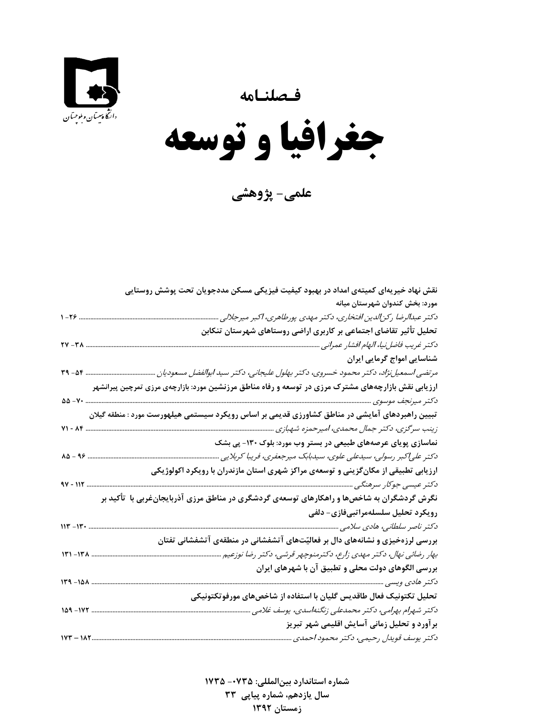**فـصلنـامه** 





**علمي- پژوهشي**

| نقش نهاد خیریهای کمیتهی امداد در بهبود کیفیت فیزیکی مسکن مددجویان تحت پوشش روستایی                  |
|-----------------------------------------------------------------------------------------------------|
| مورد: بخش کندوان شهرستان میانه                                                                      |
| دكتر عبدالرضا ركن لدين افتخاري، دكتر مهدي پورطاهري، اكبر ميرجلالي                                   |
| تحلیل تأثیر تقاضای اجتماعی بر کاربری اراضی روستاهای شهرستان تنکابن                                  |
| دكتر غريب فاضلiبيا، الهام افشار عمراني                                                              |
| شناسایی امواج گرمایی ایران                                                                          |
|                                                                                                     |
| ارزیابی نقش بازارچههای مشترک مرزی در توسعه و رفاه مناطق مرزنشین مورد: بازارچهی مرزی تمرچین پیرانشهر |
| $\Delta\Delta - V$                                                                                  |
| تبیین راهبردهای آمایشی در مناطق کشاورزی قدیمی بر اساس رویکرد سیستمی هیلهورست مورد : منطقه گیلان     |
| <b>V1 - ۸۴</b><br>زینب سرگزی، دکتر جمال محمدی، امیرحمزه شهبازی                                      |
| نماسازی پویای عرصههای طبیعی در بستر وب مورد: بلوک ۱۳۰- پی بشک                                       |
| $\lambda \Delta - 99$<br>دکتر علیاکبر رسولی، سیدعلی علوی، سیدبابک میرجعفری، فریبا کربلایی           |
| ارزیابی تطبیقی از مکانگزینی و توسعهی مراکز شهری استان مازندران با رویکرد اکولوژیکی                  |
| 97 - 112<br>دکتر عیسی جوکار سرهنگی                                                                  |
| نگرش گردشگران به شاخصها و راهکارهای توسعهی گردشگری در مناطق مرزی آذربایجانغربی با تأکید بر          |
| رویکرد تحلیل سلسلهمراتبیفازی- دلفی                                                                  |
| $117 - 17$                                                                                          |
| بررسی لرزهخیزی و نشانههای دال بر فعالیّتهای آتشفشانی در منطقهی آتشفشانی تفتان                       |
| بهار رضائی نهال، دکتر مهدی زارع، دکترمنوچهر قرشی، دکتر رضا نوزعیم<br>$11 - 11 - 11$                 |
| بررسی الگوهای دولت محلی و تطبیق آن با شهرهای ایران                                                  |
| $14 - 104$                                                                                          |
|                                                                                                     |
| تحلیل تکتونیک فعال طاقدیس گلیان با استفاده از شاخصهای مورفوتکتونیکی<br>149-177                      |
| دكتر شهرام بهرامي، دكتر محمدعلى زنگنهاسدى، يوسف غلامى                                               |
| برآورد و تحلیل زمانی آسایش اقلیمی شهر تبریز                                                         |
| دكتر يوسف قويدل رحيمي، دكتر محمود احمدي                                                             |

**شماره استاندارد بينالمللي: -0735 <sup>1735</sup> سال يازدهم، شماره پياپي 33 زمستان 1392**